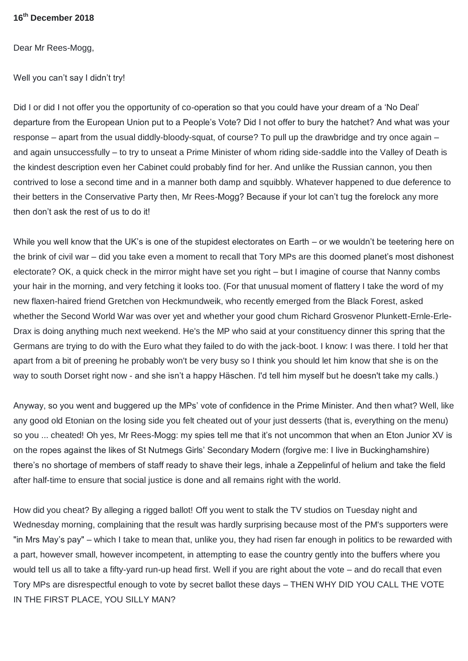## **16th December 2018**

Dear Mr Rees-Mogg,

## Well you can't say I didn't try!

Did I or did I not offer you the opportunity of co-operation so that you could have your dream of a 'No Deal' departure from the European Union put to a People's Vote? Did I not offer to bury the hatchet? And what was your response – apart from the usual diddly-bloody-squat, of course? To pull up the drawbridge and try once again – and again unsuccessfully – to try to unseat a Prime Minister of whom riding side-saddle into the Valley of Death is the kindest description even her Cabinet could probably find for her. And unlike the Russian cannon, you then contrived to lose a second time and in a manner both damp and squibbly. Whatever happened to due deference to their betters in the Conservative Party then, Mr Rees-Mogg? Because if your lot can't tug the forelock any more then don't ask the rest of us to do it!

While you well know that the UK's is one of the stupidest electorates on Earth – or we wouldn't be teetering here on the brink of civil war – did you take even a moment to recall that Tory MPs are this doomed planet's most dishonest electorate? OK, a quick check in the mirror might have set you right – but I imagine of course that Nanny combs your hair in the morning, and very fetching it looks too. (For that unusual moment of flattery I take the word of my new flaxen-haired friend Gretchen von Heckmundweik, who recently emerged from the Black Forest, asked whether the Second World War was over yet and whether your good chum Richard Grosvenor Plunkett-Ernle-Erle-Drax is doing anything much next weekend. He's the MP who said at your constituency dinner this spring that the Germans are trying to do with the Euro what they failed to do with the jack-boot. I know: I was there. I told her that apart from a bit of preening he probably won't be very busy so I think you should let him know that she is on the way to south Dorset right now - and she isn't a happy Häschen. I'd tell him myself but he doesn't take my calls.)

Anyway, so you went and buggered up the MPs' vote of confidence in the Prime Minister. And then what? Well, like any good old Etonian on the losing side you felt cheated out of your just desserts (that is, everything on the menu) so you ... cheated! Oh yes, Mr Rees-Mogg: my spies tell me that it's not uncommon that when an Eton Junior XV is on the ropes against the likes of St Nutmegs Girls' Secondary Modern (forgive me: I live in Buckinghamshire) there's no shortage of members of staff ready to shave their legs, inhale a Zeppelinful of helium and take the field after half-time to ensure that social justice is done and all remains right with the world.

How did you cheat? By alleging a rigged ballot! Off you went to stalk the TV studios on Tuesday night and Wednesday morning, complaining that the result was hardly surprising because most of the PM's supporters were "in Mrs May's pay" – which I take to mean that, unlike you, they had risen far enough in politics to be rewarded with a part, however small, however incompetent, in attempting to ease the country gently into the buffers where you would tell us all to take a fifty-yard run-up head first. Well if you are right about the vote – and do recall that even Tory MPs are disrespectful enough to vote by secret ballot these days – THEN WHY DID YOU CALL THE VOTE IN THE FIRST PLACE, YOU SILLY MAN?